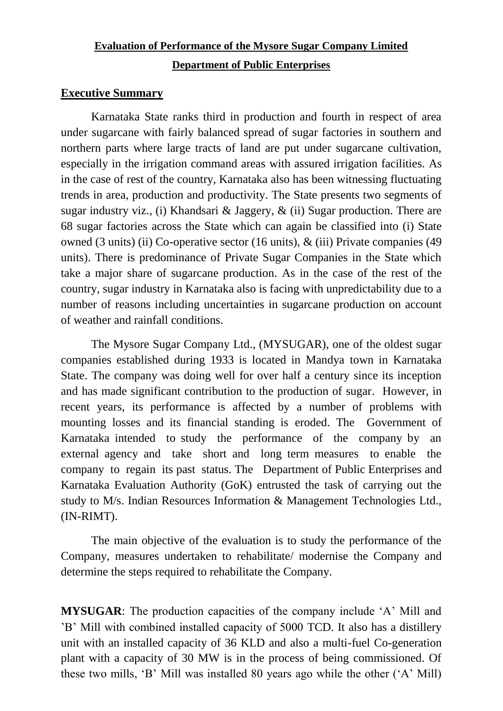# **Evaluation of Performance of the Mysore Sugar Company Limited Department of Public Enterprises**

### **Executive Summary**

Karnataka State ranks third in production and fourth in respect of area under sugarcane with fairly balanced spread of sugar factories in southern and northern parts where large tracts of land are put under sugarcane cultivation, especially in the irrigation command areas with assured irrigation facilities. As in the case of rest of the country, Karnataka also has been witnessing fluctuating trends in area, production and productivity. The State presents two segments of sugar industry viz., (i) Khandsari & Jaggery, & (ii) Sugar production. There are 68 sugar factories across the State which can again be classified into (i) State owned (3 units) (ii) Co-operative sector (16 units), & (iii) Private companies (49 units). There is predominance of Private Sugar Companies in the State which take a major share of sugarcane production. As in the case of the rest of the country, sugar industry in Karnataka also is facing with unpredictability due to a number of reasons including uncertainties in sugarcane production on account of weather and rainfall conditions.

The Mysore Sugar Company Ltd., (MYSUGAR), one of the oldest sugar companies established during 1933 is located in Mandya town in Karnataka State. The company was doing well for over half a century since its inception and has made significant contribution to the production of sugar. However, in recent years, its performance is affected by a number of problems with mounting losses and its financial standing is eroded. The Government of Karnataka intended to study the performance of the company by an external agency and take short and long term measures to enable the company to regain its past status. The Department of Public Enterprises and Karnataka Evaluation Authority (GoK) entrusted the task of carrying out the study to M/s. Indian Resources Information & Management Technologies Ltd., (IN-RIMT).

The main objective of the evaluation is to study the performance of the Company, measures undertaken to rehabilitate/ modernise the Company and determine the steps required to rehabilitate the Company.

**MYSUGAR:** The production capacities of the company include 'A' Mill and "B" Mill with combined installed capacity of 5000 TCD. It also has a distillery unit with an installed capacity of 36 KLD and also a multi-fuel Co-generation plant with a capacity of 30 MW is in the process of being commissioned. Of these two mills, "B" Mill was installed 80 years ago while the other ("A" Mill)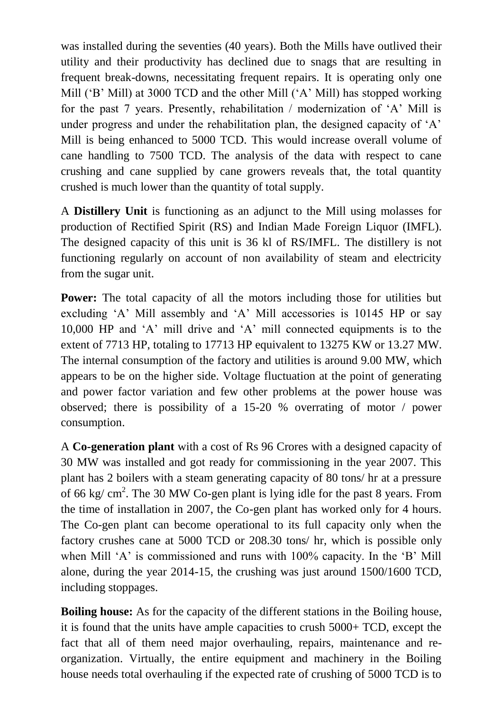was installed during the seventies (40 years). Both the Mills have outlived their utility and their productivity has declined due to snags that are resulting in frequent break-downs, necessitating frequent repairs. It is operating only one Mill ('B' Mill) at 3000 TCD and the other Mill ('A' Mill) has stopped working for the past 7 years. Presently, rehabilitation / modernization of "A" Mill is under progress and under the rehabilitation plan, the designed capacity of 'A' Mill is being enhanced to 5000 TCD. This would increase overall volume of cane handling to 7500 TCD. The analysis of the data with respect to cane crushing and cane supplied by cane growers reveals that, the total quantity crushed is much lower than the quantity of total supply.

A **Distillery Unit** is functioning as an adjunct to the Mill using molasses for production of Rectified Spirit (RS) and Indian Made Foreign Liquor (IMFL). The designed capacity of this unit is 36 kl of RS/IMFL. The distillery is not functioning regularly on account of non availability of steam and electricity from the sugar unit.

**Power:** The total capacity of all the motors including those for utilities but excluding "A" Mill assembly and "A" Mill accessories is 10145 HP or say 10,000 HP and "A" mill drive and "A" mill connected equipments is to the extent of 7713 HP, totaling to 17713 HP equivalent to 13275 KW or 13.27 MW. The internal consumption of the factory and utilities is around 9.00 MW, which appears to be on the higher side. Voltage fluctuation at the point of generating and power factor variation and few other problems at the power house was observed; there is possibility of a 15-20 % overrating of motor / power consumption.

A **Co-generation plant** with a cost of Rs 96 Crores with a designed capacity of 30 MW was installed and got ready for commissioning in the year 2007. This plant has 2 boilers with a steam generating capacity of 80 tons/ hr at a pressure of 66 kg/  $\text{cm}^2$ . The 30 MW Co-gen plant is lying idle for the past 8 years. From the time of installation in 2007, the Co-gen plant has worked only for 4 hours. The Co-gen plant can become operational to its full capacity only when the factory crushes cane at 5000 TCD or 208.30 tons/ hr, which is possible only when Mill 'A' is commissioned and runs with 100% capacity. In the 'B' Mill alone, during the year 2014-15, the crushing was just around 1500/1600 TCD, including stoppages.

**Boiling house:** As for the capacity of the different stations in the Boiling house, it is found that the units have ample capacities to crush 5000+ TCD, except the fact that all of them need major overhauling, repairs, maintenance and reorganization. Virtually, the entire equipment and machinery in the Boiling house needs total overhauling if the expected rate of crushing of 5000 TCD is to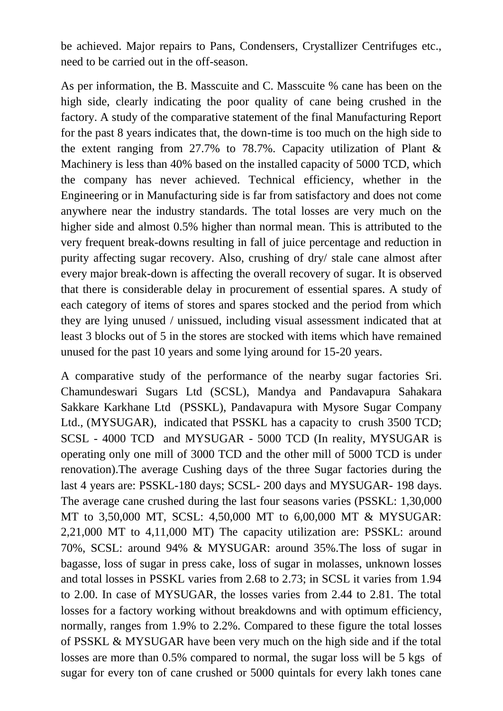be achieved. Major repairs to Pans, Condensers, Crystallizer Centrifuges etc., need to be carried out in the off-season.

As per information, the B. Masscuite and C. Masscuite % cane has been on the high side, clearly indicating the poor quality of cane being crushed in the factory. A study of the comparative statement of the final Manufacturing Report for the past 8 years indicates that, the down-time is too much on the high side to the extent ranging from 27.7% to 78.7%. Capacity utilization of Plant & Machinery is less than 40% based on the installed capacity of 5000 TCD, which the company has never achieved. Technical efficiency, whether in the Engineering or in Manufacturing side is far from satisfactory and does not come anywhere near the industry standards. The total losses are very much on the higher side and almost 0.5% higher than normal mean. This is attributed to the very frequent break-downs resulting in fall of juice percentage and reduction in purity affecting sugar recovery. Also, crushing of dry/ stale cane almost after every major break-down is affecting the overall recovery of sugar. It is observed that there is considerable delay in procurement of essential spares. A study of each category of items of stores and spares stocked and the period from which they are lying unused / unissued, including visual assessment indicated that at least 3 blocks out of 5 in the stores are stocked with items which have remained unused for the past 10 years and some lying around for 15-20 years.

A comparative study of the performance of the nearby sugar factories Sri. Chamundeswari Sugars Ltd (SCSL), Mandya and Pandavapura Sahakara Sakkare Karkhane Ltd (PSSKL), Pandavapura with Mysore Sugar Company Ltd., (MYSUGAR), indicated that PSSKL has a capacity to crush 3500 TCD; SCSL - 4000 TCD and MYSUGAR - 5000 TCD (In reality, MYSUGAR is operating only one mill of 3000 TCD and the other mill of 5000 TCD is under renovation).The average Cushing days of the three Sugar factories during the last 4 years are: PSSKL-180 days; SCSL- 200 days and MYSUGAR- 198 days. The average cane crushed during the last four seasons varies (PSSKL: 1,30,000 MT to 3,50,000 MT, SCSL: 4,50,000 MT to 6,00,000 MT & MYSUGAR: 2,21,000 MT to 4,11,000 MT) The capacity utilization are: PSSKL: around 70%, SCSL: around 94% & MYSUGAR: around 35%.The loss of sugar in bagasse, loss of sugar in press cake, loss of sugar in molasses, unknown losses and total losses in PSSKL varies from 2.68 to 2.73; in SCSL it varies from 1.94 to 2.00. In case of MYSUGAR, the losses varies from 2.44 to 2.81. The total losses for a factory working without breakdowns and with optimum efficiency, normally, ranges from 1.9% to 2.2%. Compared to these figure the total losses of PSSKL & MYSUGAR have been very much on the high side and if the total losses are more than 0.5% compared to normal, the sugar loss will be 5 kgs of sugar for every ton of cane crushed or 5000 quintals for every lakh tones cane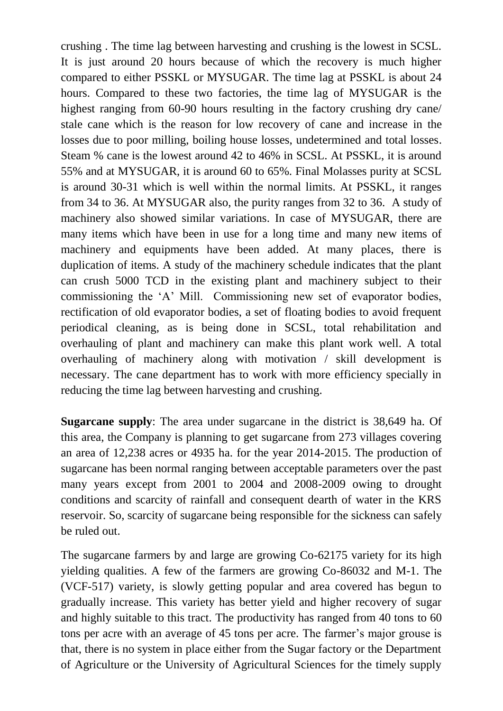crushing . The time lag between harvesting and crushing is the lowest in SCSL. It is just around 20 hours because of which the recovery is much higher compared to either PSSKL or MYSUGAR. The time lag at PSSKL is about 24 hours. Compared to these two factories, the time lag of MYSUGAR is the highest ranging from 60-90 hours resulting in the factory crushing dry cane/ stale cane which is the reason for low recovery of cane and increase in the losses due to poor milling, boiling house losses, undetermined and total losses. Steam % cane is the lowest around 42 to 46% in SCSL. At PSSKL, it is around 55% and at MYSUGAR, it is around 60 to 65%. Final Molasses purity at SCSL is around 30-31 which is well within the normal limits. At PSSKL, it ranges from 34 to 36. At MYSUGAR also, the purity ranges from 32 to 36. A study of machinery also showed similar variations. In case of MYSUGAR, there are many items which have been in use for a long time and many new items of machinery and equipments have been added. At many places, there is duplication of items. A study of the machinery schedule indicates that the plant can crush 5000 TCD in the existing plant and machinery subject to their commissioning the "A" Mill. Commissioning new set of evaporator bodies, rectification of old evaporator bodies, a set of floating bodies to avoid frequent periodical cleaning, as is being done in SCSL, total rehabilitation and overhauling of plant and machinery can make this plant work well. A total overhauling of machinery along with motivation / skill development is necessary. The cane department has to work with more efficiency specially in reducing the time lag between harvesting and crushing.

**Sugarcane supply**: The area under sugarcane in the district is 38,649 ha. Of this area, the Company is planning to get sugarcane from 273 villages covering an area of 12,238 acres or 4935 ha. for the year 2014-2015. The production of sugarcane has been normal ranging between acceptable parameters over the past many years except from 2001 to 2004 and 2008-2009 owing to drought conditions and scarcity of rainfall and consequent dearth of water in the KRS reservoir. So, scarcity of sugarcane being responsible for the sickness can safely be ruled out.

The sugarcane farmers by and large are growing Co-62175 variety for its high yielding qualities. A few of the farmers are growing Co-86032 and M-1. The (VCF-517) variety, is slowly getting popular and area covered has begun to gradually increase. This variety has better yield and higher recovery of sugar and highly suitable to this tract. The productivity has ranged from 40 tons to 60 tons per acre with an average of 45 tons per acre. The farmer's major grouse is that, there is no system in place either from the Sugar factory or the Department of Agriculture or the University of Agricultural Sciences for the timely supply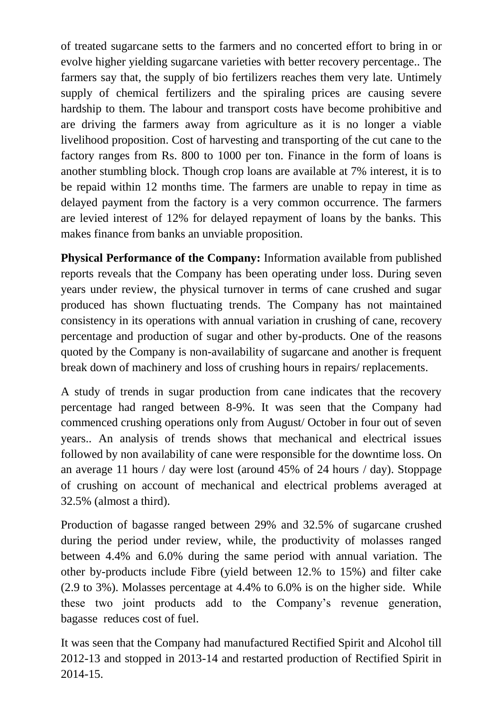of treated sugarcane setts to the farmers and no concerted effort to bring in or evolve higher yielding sugarcane varieties with better recovery percentage.. The farmers say that, the supply of bio fertilizers reaches them very late. Untimely supply of chemical fertilizers and the spiraling prices are causing severe hardship to them. The labour and transport costs have become prohibitive and are driving the farmers away from agriculture as it is no longer a viable livelihood proposition. Cost of harvesting and transporting of the cut cane to the factory ranges from Rs. 800 to 1000 per ton. Finance in the form of loans is another stumbling block. Though crop loans are available at 7% interest, it is to be repaid within 12 months time. The farmers are unable to repay in time as delayed payment from the factory is a very common occurrence. The farmers are levied interest of 12% for delayed repayment of loans by the banks. This makes finance from banks an unviable proposition.

**Physical Performance of the Company:** Information available from published reports reveals that the Company has been operating under loss. During seven years under review, the physical turnover in terms of cane crushed and sugar produced has shown fluctuating trends. The Company has not maintained consistency in its operations with annual variation in crushing of cane, recovery percentage and production of sugar and other by-products. One of the reasons quoted by the Company is non-availability of sugarcane and another is frequent break down of machinery and loss of crushing hours in repairs/ replacements.

A study of trends in sugar production from cane indicates that the recovery percentage had ranged between 8-9%. It was seen that the Company had commenced crushing operations only from August/ October in four out of seven years.. An analysis of trends shows that mechanical and electrical issues followed by non availability of cane were responsible for the downtime loss. On an average 11 hours / day were lost (around 45% of 24 hours / day). Stoppage of crushing on account of mechanical and electrical problems averaged at 32.5% (almost a third).

Production of bagasse ranged between 29% and 32.5% of sugarcane crushed during the period under review, while, the productivity of molasses ranged between 4.4% and 6.0% during the same period with annual variation. The other by-products include Fibre (yield between 12.% to 15%) and filter cake (2.9 to 3%). Molasses percentage at 4.4% to 6.0% is on the higher side. While these two joint products add to the Company"s revenue generation, bagasse reduces cost of fuel.

It was seen that the Company had manufactured Rectified Spirit and Alcohol till 2012-13 and stopped in 2013-14 and restarted production of Rectified Spirit in 2014-15.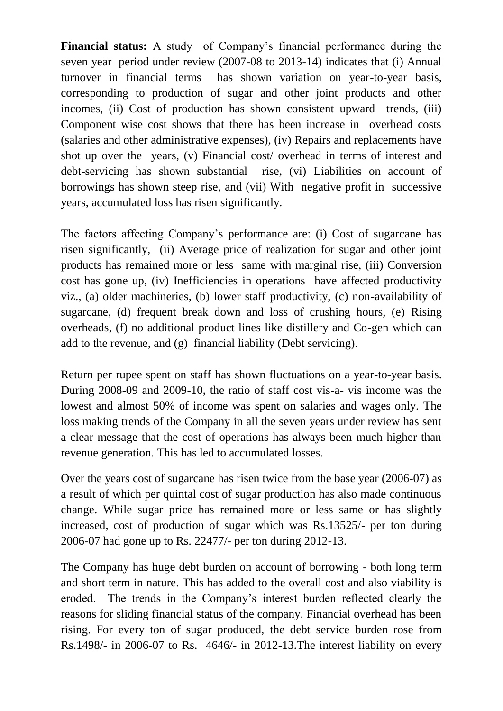**Financial status:** A study of Company's financial performance during the seven year period under review (2007-08 to 2013-14) indicates that (i) Annual turnover in financial terms has shown variation on year-to-year basis, corresponding to production of sugar and other joint products and other incomes, (ii) Cost of production has shown consistent upward trends, (iii) Component wise cost shows that there has been increase in overhead costs (salaries and other administrative expenses), (iv) Repairs and replacements have shot up over the years, (v) Financial cost/ overhead in terms of interest and debt-servicing has shown substantial rise, (vi) Liabilities on account of borrowings has shown steep rise, and (vii) With negative profit in successive years, accumulated loss has risen significantly.

The factors affecting Company"s performance are: (i) Cost of sugarcane has risen significantly, (ii) Average price of realization for sugar and other joint products has remained more or less same with marginal rise, (iii) Conversion cost has gone up, (iv) Inefficiencies in operations have affected productivity viz., (a) older machineries, (b) lower staff productivity, (c) non-availability of sugarcane, (d) frequent break down and loss of crushing hours, (e) Rising overheads, (f) no additional product lines like distillery and Co-gen which can add to the revenue, and (g) financial liability (Debt servicing).

Return per rupee spent on staff has shown fluctuations on a year-to-year basis. During 2008-09 and 2009-10, the ratio of staff cost vis-a- vis income was the lowest and almost 50% of income was spent on salaries and wages only. The loss making trends of the Company in all the seven years under review has sent a clear message that the cost of operations has always been much higher than revenue generation. This has led to accumulated losses.

Over the years cost of sugarcane has risen twice from the base year (2006-07) as a result of which per quintal cost of sugar production has also made continuous change. While sugar price has remained more or less same or has slightly increased, cost of production of sugar which was Rs.13525/- per ton during 2006-07 had gone up to Rs. 22477/- per ton during 2012-13.

The Company has huge debt burden on account of borrowing - both long term and short term in nature. This has added to the overall cost and also viability is eroded. The trends in the Company"s interest burden reflected clearly the reasons for sliding financial status of the company. Financial overhead has been rising. For every ton of sugar produced, the debt service burden rose from Rs.1498/- in 2006-07 to Rs. 4646/- in 2012-13.The interest liability on every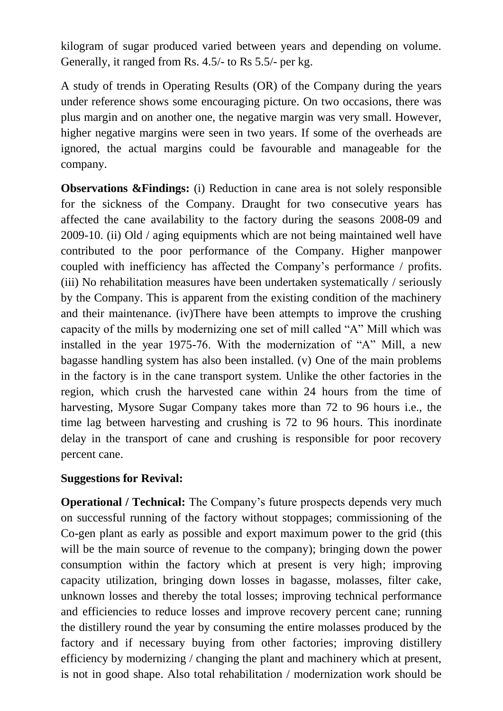kilogram of sugar produced varied between years and depending on volume. Generally, it ranged from Rs. 4.5/- to Rs 5.5/- per kg.

A study of trends in Operating Results (OR) of the Company during the years under reference shows some encouraging picture. On two occasions, there was plus margin and on another one, the negative margin was very small. However, higher negative margins were seen in two years. If some of the overheads are ignored, the actual margins could be favourable and manageable for the company.

**Observations &Findings:** (i) Reduction in cane area is not solely responsible for the sickness of the Company. Draught for two consecutive years has affected the cane availability to the factory during the seasons 2008-09 and 2009-10. (ii) Old / aging equipments which are not being maintained well have contributed to the poor performance of the Company. Higher manpower coupled with inefficiency has affected the Company"s performance / profits. (iii) No rehabilitation measures have been undertaken systematically / seriously by the Company. This is apparent from the existing condition of the machinery and their maintenance. (iv)There have been attempts to improve the crushing capacity of the mills by modernizing one set of mill called "A" Mill which was installed in the year 1975-76. With the modernization of "A" Mill, a new bagasse handling system has also been installed. (v) One of the main problems in the factory is in the cane transport system. Unlike the other factories in the region, which crush the harvested cane within 24 hours from the time of harvesting, Mysore Sugar Company takes more than 72 to 96 hours i.e., the time lag between harvesting and crushing is 72 to 96 hours. This inordinate delay in the transport of cane and crushing is responsible for poor recovery percent cane.

### **Suggestions for Revival:**

**Operational / Technical:** The Company's future prospects depends very much on successful running of the factory without stoppages; commissioning of the Co-gen plant as early as possible and export maximum power to the grid (this will be the main source of revenue to the company); bringing down the power consumption within the factory which at present is very high; improving capacity utilization, bringing down losses in bagasse, molasses, filter cake, unknown losses and thereby the total losses; improving technical performance and efficiencies to reduce losses and improve recovery percent cane; running the distillery round the year by consuming the entire molasses produced by the factory and if necessary buying from other factories; improving distillery efficiency by modernizing / changing the plant and machinery which at present, is not in good shape. Also total rehabilitation / modernization work should be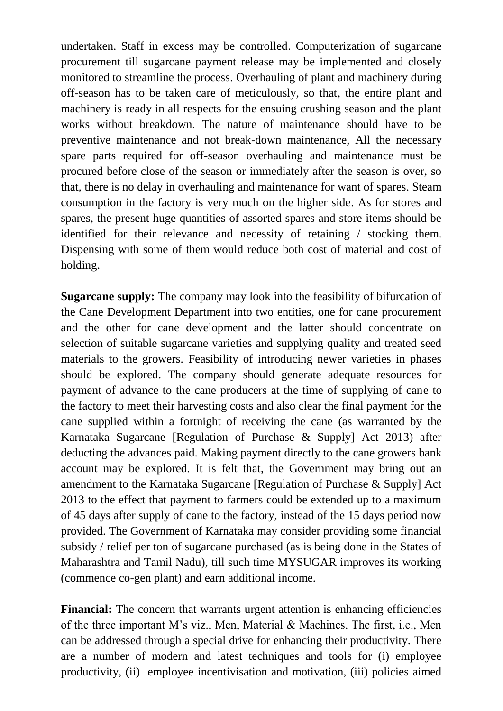undertaken. Staff in excess may be controlled. Computerization of sugarcane procurement till sugarcane payment release may be implemented and closely monitored to streamline the process. Overhauling of plant and machinery during off-season has to be taken care of meticulously, so that, the entire plant and machinery is ready in all respects for the ensuing crushing season and the plant works without breakdown. The nature of maintenance should have to be preventive maintenance and not break-down maintenance, All the necessary spare parts required for off-season overhauling and maintenance must be procured before close of the season or immediately after the season is over, so that, there is no delay in overhauling and maintenance for want of spares. Steam consumption in the factory is very much on the higher side. As for stores and spares, the present huge quantities of assorted spares and store items should be identified for their relevance and necessity of retaining / stocking them. Dispensing with some of them would reduce both cost of material and cost of holding.

**Sugarcane supply:** The company may look into the feasibility of bifurcation of the Cane Development Department into two entities, one for cane procurement and the other for cane development and the latter should concentrate on selection of suitable sugarcane varieties and supplying quality and treated seed materials to the growers. Feasibility of introducing newer varieties in phases should be explored. The company should generate adequate resources for payment of advance to the cane producers at the time of supplying of cane to the factory to meet their harvesting costs and also clear the final payment for the cane supplied within a fortnight of receiving the cane (as warranted by the Karnataka Sugarcane [Regulation of Purchase & Supply] Act 2013) after deducting the advances paid. Making payment directly to the cane growers bank account may be explored. It is felt that, the Government may bring out an amendment to the Karnataka Sugarcane [Regulation of Purchase & Supply] Act 2013 to the effect that payment to farmers could be extended up to a maximum of 45 days after supply of cane to the factory, instead of the 15 days period now provided. The Government of Karnataka may consider providing some financial subsidy / relief per ton of sugarcane purchased (as is being done in the States of Maharashtra and Tamil Nadu), till such time MYSUGAR improves its working (commence co-gen plant) and earn additional income.

**Financial:** The concern that warrants urgent attention is enhancing efficiencies of the three important M"s viz., Men, Material & Machines. The first, i.e., Men can be addressed through a special drive for enhancing their productivity. There are a number of modern and latest techniques and tools for (i) employee productivity, (ii) employee incentivisation and motivation, (iii) policies aimed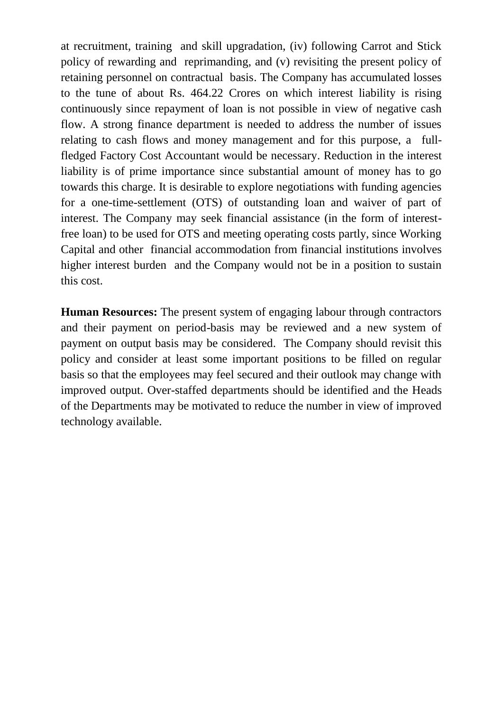at recruitment, training and skill upgradation, (iv) following Carrot and Stick policy of rewarding and reprimanding, and (v) revisiting the present policy of retaining personnel on contractual basis. The Company has accumulated losses to the tune of about Rs. 464.22 Crores on which interest liability is rising continuously since repayment of loan is not possible in view of negative cash flow. A strong finance department is needed to address the number of issues relating to cash flows and money management and for this purpose, a fullfledged Factory Cost Accountant would be necessary. Reduction in the interest liability is of prime importance since substantial amount of money has to go towards this charge. It is desirable to explore negotiations with funding agencies for a one-time-settlement (OTS) of outstanding loan and waiver of part of interest. The Company may seek financial assistance (in the form of interestfree loan) to be used for OTS and meeting operating costs partly, since Working Capital and other financial accommodation from financial institutions involves higher interest burden and the Company would not be in a position to sustain this cost.

**Human Resources:** The present system of engaging labour through contractors and their payment on period-basis may be reviewed and a new system of payment on output basis may be considered. The Company should revisit this policy and consider at least some important positions to be filled on regular basis so that the employees may feel secured and their outlook may change with improved output. Over-staffed departments should be identified and the Heads of the Departments may be motivated to reduce the number in view of improved technology available.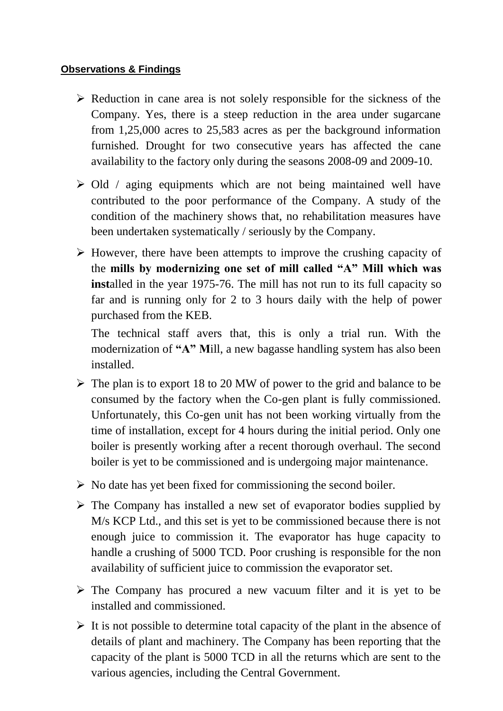#### **Observations & Findings**

- $\triangleright$  Reduction in cane area is not solely responsible for the sickness of the Company. Yes, there is a steep reduction in the area under sugarcane from 1,25,000 acres to 25,583 acres as per the background information furnished. Drought for two consecutive years has affected the cane availability to the factory only during the seasons 2008-09 and 2009-10.
- $\geq$  Old / aging equipments which are not being maintained well have contributed to the poor performance of the Company. A study of the condition of the machinery shows that, no rehabilitation measures have been undertaken systematically / seriously by the Company.
- $\triangleright$  However, there have been attempts to improve the crushing capacity of the **mills by modernizing one set of mill called "A" Mill which was inst**alled in the year 1975-76. The mill has not run to its full capacity so far and is running only for 2 to 3 hours daily with the help of power purchased from the KEB.

The technical staff avers that, this is only a trial run. With the modernization of **"A" M**ill, a new bagasse handling system has also been installed.

- $\triangleright$  The plan is to export 18 to 20 MW of power to the grid and balance to be consumed by the factory when the Co-gen plant is fully commissioned. Unfortunately, this Co-gen unit has not been working virtually from the time of installation, except for 4 hours during the initial period. Only one boiler is presently working after a recent thorough overhaul. The second boiler is yet to be commissioned and is undergoing major maintenance.
- $\triangleright$  No date has yet been fixed for commissioning the second boiler.
- $\triangleright$  The Company has installed a new set of evaporator bodies supplied by M/s KCP Ltd., and this set is yet to be commissioned because there is not enough juice to commission it. The evaporator has huge capacity to handle a crushing of 5000 TCD. Poor crushing is responsible for the non availability of sufficient juice to commission the evaporator set.
- $\triangleright$  The Company has procured a new vacuum filter and it is yet to be installed and commissioned.
- $\triangleright$  It is not possible to determine total capacity of the plant in the absence of details of plant and machinery. The Company has been reporting that the capacity of the plant is 5000 TCD in all the returns which are sent to the various agencies, including the Central Government.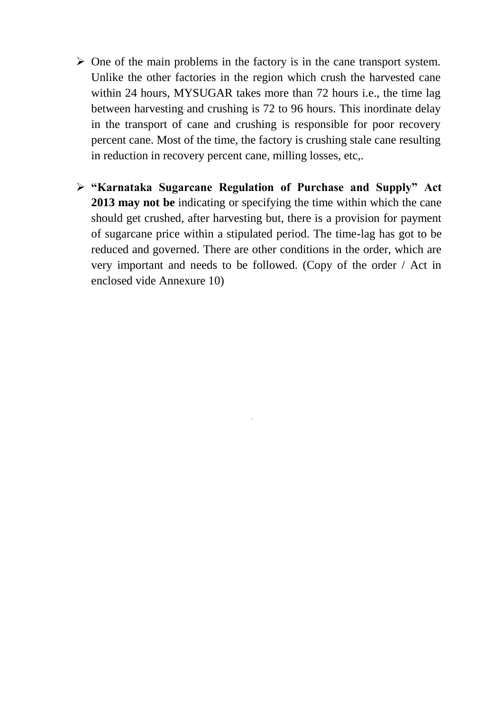- $\triangleright$  One of the main problems in the factory is in the cane transport system. Unlike the other factories in the region which crush the harvested cane within 24 hours, MYSUGAR takes more than 72 hours i.e., the time lag between harvesting and crushing is 72 to 96 hours. This inordinate delay in the transport of cane and crushing is responsible for poor recovery percent cane. Most of the time, the factory is crushing stale cane resulting in reduction in recovery percent cane, milling losses, etc,.
- **"Karnataka Sugarcane Regulation of Purchase and Supply" Act 2013 may not be** indicating or specifying the time within which the cane should get crushed, after harvesting but, there is a provision for payment of sugarcane price within a stipulated period. The time-lag has got to be reduced and governed. There are other conditions in the order, which are very important and needs to be followed. (Copy of the order / Act in enclosed vide Annexure 10)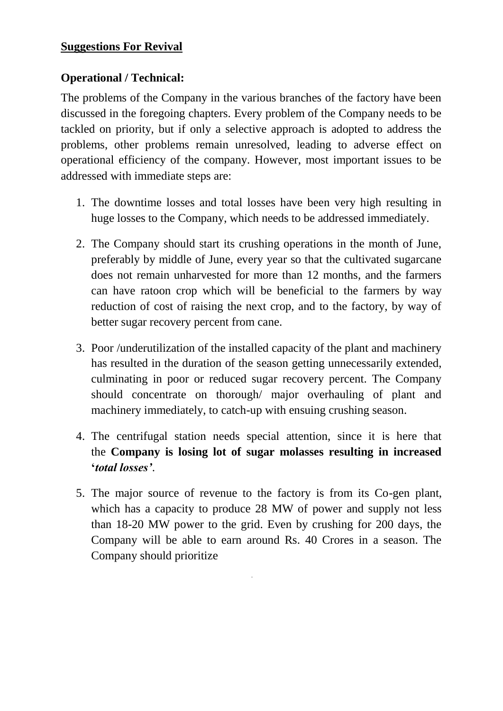# **Suggestions For Revival**

# **Operational / Technical:**

The problems of the Company in the various branches of the factory have been discussed in the foregoing chapters. Every problem of the Company needs to be tackled on priority, but if only a selective approach is adopted to address the problems, other problems remain unresolved, leading to adverse effect on operational efficiency of the company. However, most important issues to be addressed with immediate steps are:

- 1. The downtime losses and total losses have been very high resulting in huge losses to the Company, which needs to be addressed immediately.
- 2. The Company should start its crushing operations in the month of June, preferably by middle of June, every year so that the cultivated sugarcane does not remain unharvested for more than 12 months, and the farmers can have ratoon crop which will be beneficial to the farmers by way reduction of cost of raising the next crop, and to the factory, by way of better sugar recovery percent from cane.
- 3. Poor /underutilization of the installed capacity of the plant and machinery has resulted in the duration of the season getting unnecessarily extended, culminating in poor or reduced sugar recovery percent. The Company should concentrate on thorough/ major overhauling of plant and machinery immediately, to catch-up with ensuing crushing season.
- 4. The centrifugal station needs special attention, since it is here that the **Company is losing lot of sugar molasses resulting in increased "***total losses'*.
- 5. The major source of revenue to the factory is from its Co-gen plant, which has a capacity to produce 28 MW of power and supply not less than 18-20 MW power to the grid. Even by crushing for 200 days, the Company will be able to earn around Rs. 40 Crores in a season. The Company should prioritize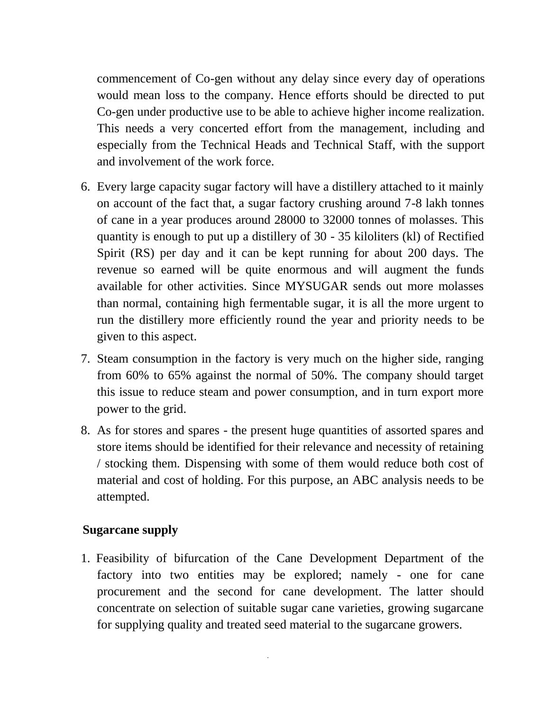commencement of Co-gen without any delay since every day of operations would mean loss to the company. Hence efforts should be directed to put Co-gen under productive use to be able to achieve higher income realization. This needs a very concerted effort from the management, including and especially from the Technical Heads and Technical Staff, with the support and involvement of the work force.

- 6. Every large capacity sugar factory will have a distillery attached to it mainly on account of the fact that, a sugar factory crushing around 7-8 lakh tonnes of cane in a year produces around 28000 to 32000 tonnes of molasses. This quantity is enough to put up a distillery of 30 - 35 kiloliters (kl) of Rectified Spirit (RS) per day and it can be kept running for about 200 days. The revenue so earned will be quite enormous and will augment the funds available for other activities. Since MYSUGAR sends out more molasses than normal, containing high fermentable sugar, it is all the more urgent to run the distillery more efficiently round the year and priority needs to be given to this aspect.
- 7. Steam consumption in the factory is very much on the higher side, ranging from 60% to 65% against the normal of 50%. The company should target this issue to reduce steam and power consumption, and in turn export more power to the grid.
- 8. As for stores and spares the present huge quantities of assorted spares and store items should be identified for their relevance and necessity of retaining / stocking them. Dispensing with some of them would reduce both cost of material and cost of holding. For this purpose, an ABC analysis needs to be attempted.

#### **Sugarcane supply**

1. Feasibility of bifurcation of the Cane Development Department of the factory into two entities may be explored; namely - one for cane procurement and the second for cane development. The latter should concentrate on selection of suitable sugar cane varieties, growing sugarcane for supplying quality and treated seed material to the sugarcane growers.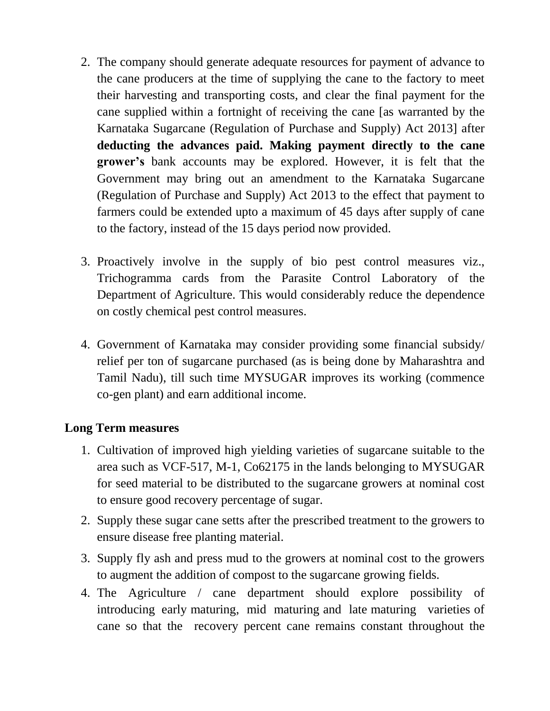- 2. The company should generate adequate resources for payment of advance to the cane producers at the time of supplying the cane to the factory to meet their harvesting and transporting costs, and clear the final payment for the cane supplied within a fortnight of receiving the cane [as warranted by the Karnataka Sugarcane (Regulation of Purchase and Supply) Act 2013] after **deducting the advances paid. Making payment directly to the cane grower"s** bank accounts may be explored. However, it is felt that the Government may bring out an amendment to the Karnataka Sugarcane (Regulation of Purchase and Supply) Act 2013 to the effect that payment to farmers could be extended upto a maximum of 45 days after supply of cane to the factory, instead of the 15 days period now provided.
- 3. Proactively involve in the supply of bio pest control measures viz., Trichogramma cards from the Parasite Control Laboratory of the Department of Agriculture. This would considerably reduce the dependence on costly chemical pest control measures.
- 4. Government of Karnataka may consider providing some financial subsidy/ relief per ton of sugarcane purchased (as is being done by Maharashtra and Tamil Nadu), till such time MYSUGAR improves its working (commence co-gen plant) and earn additional income.

# **Long Term measures**

- 1. Cultivation of improved high yielding varieties of sugarcane suitable to the area such as VCF-517, M-1, Co62175 in the lands belonging to MYSUGAR for seed material to be distributed to the sugarcane growers at nominal cost to ensure good recovery percentage of sugar.
- 2. Supply these sugar cane setts after the prescribed treatment to the growers to ensure disease free planting material.
- 3. Supply fly ash and press mud to the growers at nominal cost to the growers to augment the addition of compost to the sugarcane growing fields.
- 4. The Agriculture / cane department should explore possibility of introducing early maturing, mid maturing and late maturing varieties of cane so that the recovery percent cane remains constant throughout the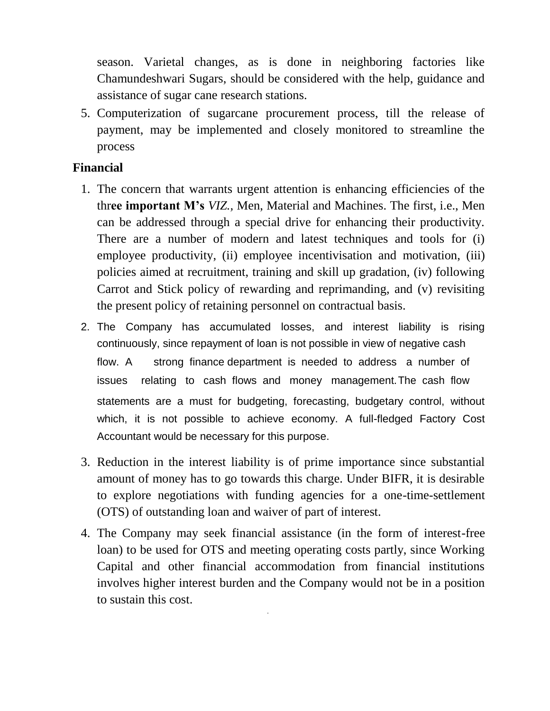season. Varietal changes, as is done in neighboring factories like Chamundeshwari Sugars, should be considered with the help, guidance and assistance of sugar cane research stations.

5. Computerization of sugarcane procurement process, till the release of payment, may be implemented and closely monitored to streamline the process

### **Financial**

- 1. The concern that warrants urgent attention is enhancing efficiencies of the thr**ee important M"s** *VIZ.,* Men, Material and Machines. The first, i.e., Men can be addressed through a special drive for enhancing their productivity. There are a number of modern and latest techniques and tools for (i) employee productivity, (ii) employee incentivisation and motivation, (iii) policies aimed at recruitment, training and skill up gradation, (iv) following Carrot and Stick policy of rewarding and reprimanding, and (v) revisiting the present policy of retaining personnel on contractual basis.
- 2. The Company has accumulated losses, and interest liability is rising continuously, since repayment of loan is not possible in view of negative cash flow. A strong finance department is needed to address a number of issues relating to cash flows and money management.The cash flow statements are a must for budgeting, forecasting, budgetary control, without which, it is not possible to achieve economy. A full-fledged Factory Cost Accountant would be necessary for this purpose.
- 3. Reduction in the interest liability is of prime importance since substantial amount of money has to go towards this charge. Under BIFR, it is desirable to explore negotiations with funding agencies for a one-time-settlement (OTS) of outstanding loan and waiver of part of interest.
- 4. The Company may seek financial assistance (in the form of interest-free loan) to be used for OTS and meeting operating costs partly, since Working Capital and other financial accommodation from financial institutions involves higher interest burden and the Company would not be in a position to sustain this cost.